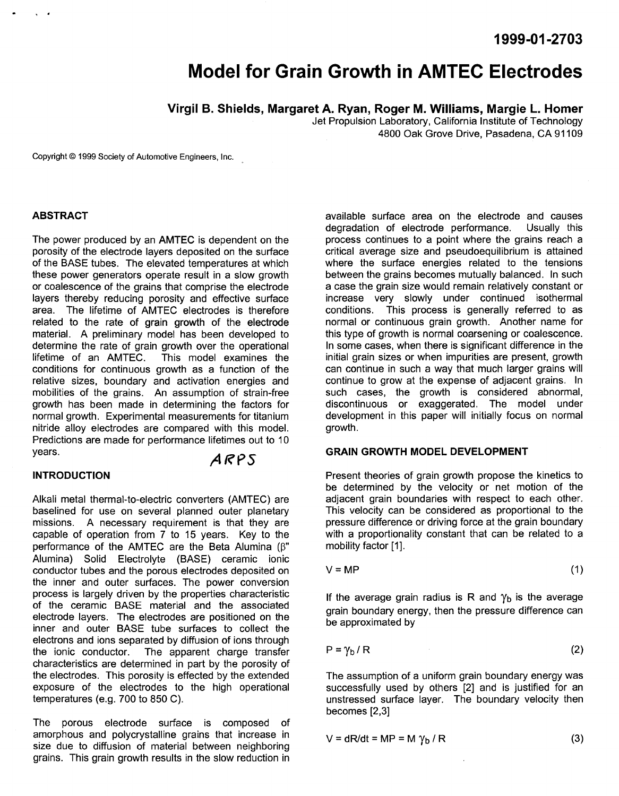**1999-01 -2703** 

# **Model for Grain Growth in AMTEC Electrodes**

**Virgil B. Shields, Margaret A. Ryan, Roger M. Williams, Margie L. Homer** 

Jet Propulsion Laboratory, California Institute of Technology 4800 Oak Grove Drive, Pasadena, CA 91 109

Copyright *0* 1999 Society of Automotive Engineers, Inc.

#### **ABSTRACT**

The power produced by an AMTEC is dependent on the porosity of the electrode layers deposited on the surface of the BASE tubes. The elevated temperatures at which these power generators operate result in a slow growth or coalescence of the grains that comprise the electrode layers thereby reducing porosity and effective surface area. The lifetime of AMTEC electrodes is therefore related to the rate of grain growth of the electrode material. A preliminary model has been developed to determine the rate of grain growth over the operational<br>lifetime of an AMTEC. This model examines the This model examines the conditions for continuous growth as a function of the relative sizes, boundary and activation energies and mobilities of the grains. An assumption of strain-free growth has been made in determining the factors for normal growth. Experimental measurements for titanium nitride alloy electrodes are compared with this model. Predictions are made for performance lifetimes out to 10 years. *A RYS* 

### **INTRODUCTION**

Alkali metal thermal-to-electric converters (AMTEC) are baselined for use on several planned outer planetary missions. A necessary requirement is that they are capable of operation from 7 to 15 years. Key to the performance of the AMTEC are the Beta Alumina (B" Alumina) Solid Electrolyte (BASE) ceramic ionic conductor tubes and the porous electrodes deposited on the inner and outer surfaces. The power conversion process is largely driven by the properties characteristic of the ceramic BASE material and the associated electrode layers. The electrodes are positioned on the inner and outer BASE tube surfaces to collect the electrons and ions separated by diffusion of ions through the ionic conductor. The apparent charge transfer characteristics are determined in part by the porosity of the electrodes. This porosity is effected by the extended exposure of the electrodes to the high operational temperatures (e.g. 700 to 850 C).

The porous electrode surface is composed of amorphous and polycrystalline grains that increase in size due to diffusion of material between neighboring grains. This grain growth results in the slow reduction in

available surface area on the electrode and causes degradation of electrode performance. process continues to a point where the grains reach a critical average size and pseudoequilibrium is attained where the surface energies related to the tensions between the grains becomes mutually balanced. In such a case the grain size would remain relatively constant or increase very slowly under continued isothermal conditions. This process is generally referred to as normal or continuous grain growth. Another name for this type of growth is normal coarsening or coalescence. In some cases, when there is significant difference in the initial grain sizes or when impurities are present, growth can continue in such a way that much larger grains will continue to grow at the expense of adjacent grains. In such cases, the growth is considered abnormal, discontinuous or exaggerated. The model under development in this paper will initially focus on normal growth.

### **GRAIN GROWTH MODEL DEVELOPMENT**

Present theories of grain growth propose the kinetics to be determined by the velocity or net motion of the adjacent grain boundaries with respect to each other. This velocity can be considered as proportional to the pressure difference or driving force at the grain boundary with a proportionality constant that can be related to a mobility factor [1].

$$
V = MP
$$
 (1)

If the average grain radius is R and  $\gamma_b$  is the average grain boundary energy, then the pressure difference can be approximated by

$$
P = \gamma_b / R \tag{2}
$$

The assumption of a uniform grain boundary energy was successfully used by others **[2]** and is justified for an unstressed surface layer. The boundary velocity then becomes **[2,3]** 

$$
V = dR/dt = MP = M \gamma_b / R
$$
 (3)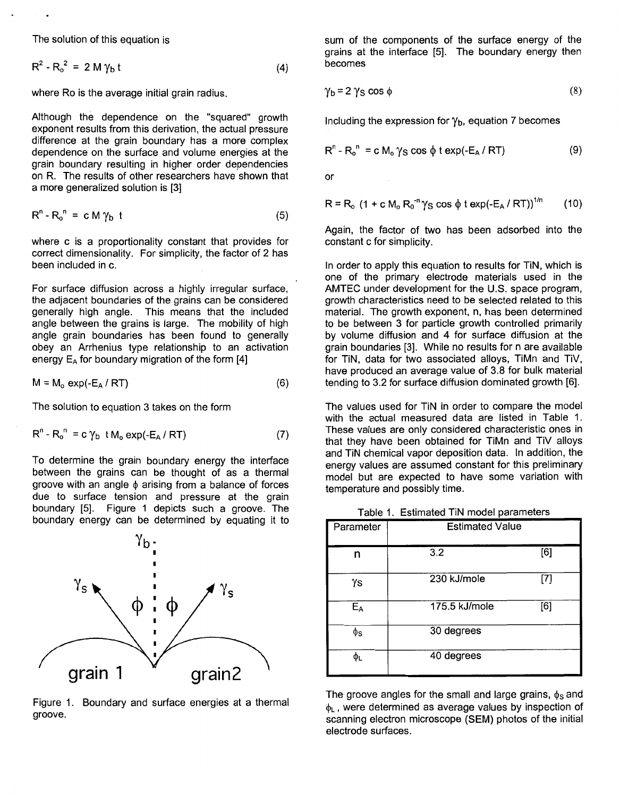The solution of this equation is

 $R^2 - R_0^2 = 2 M v_h t$ 

where Ro is the average initial grain radius.

Although the dependence on the "squared" growth exponent results from this derivation, the actual pressure difference at the grain boundary has a more complex dependence on the surface and volume energies at the grain boundary resulting in higher order dependencies on R. The results of other researchers have shown that a more generalized solution is [3]

$$
R^n - R_o^n = c M \gamma_b t \tag{5}
$$

where c is a proportionality constant that provides for correct dimensionality. For simplicity, the factor of 2 has been included in c.

For surface diffusion across a highly irregular surface, the adjacent boundaries of the grains can be considered generally high angle. This means that the included angle between the grains is large. The mobility of high angle grain boundaries has been found to generally ship of the multiple state of the collection of the form  $[4]$ <br>energy  $E_A$  for boundary migration of the form  $[4]$ energy  $E_A$  for boundary migration of the form  $[4]$ 

$$
M = M_o \exp(-E_A / RT)
$$
 (6)

The solution to equation 3 takes on the form

 $\gamma_{\rm s}$ 

$$
R^{n} - R_{o}^{n} = c \gamma_{b} \text{ t } M_{o} \exp(-E_{A} / RT) \qquad (7)
$$

To determine the grain boundary energy the interface between the grains can be thought of as a thermal groove with an angle  $\phi$  arising from a balance of forces due to surface tension and pressure at the grain boundary **[5].** Figure 1 depicts uch a groove. The boundary energy can be determined by equating it to

grain2 grain 1

Figure 1. Boundary and surface energies at a thermal groove.

sum of the components of the surface energy of the grains at the interface [5]. The boundary energy then becomes **(4)** 

$$
\gamma_{\mathsf{b}} = 2 \, \gamma_{\mathsf{S}} \, \cos \, \phi \tag{8}
$$

Including the expression for **yb,** equation 7 becomes

$$
R^{n} - R_{o}^{n} = c M_{o} \gamma_{S} \cos \phi t \exp(-E_{A} / RT)
$$
 (9)

or

$$
R = R_0 (1 + c M_0 R_0^{-n} \gamma_S \cos \phi t \exp(-E_A / RT))^{1/n}
$$
 (10)

Again, the factor of two has been adsorbed into the constant c for simplicity.

In order to apply this equation to results for TiN, which is one of the primary electrode materials used in the AMTEC under development for the U.S. space program, growth characteristics need to be selected related to this material. The growth exponent, n, has been determined to be between 3 for particle growth controlled primarily by volume diffusion and **4** for surface diffusion at the grain boundaries [3]. While no results for n are available for TIN, data for two associated alloys, TiMn and TiV, have produced an average value of 3.8 for bulk material tending to 3.2 for surface diffusion dominated growth [6].

The values used for TiN in order to compare the model with the actual measured data are listed in Table 1. These values are only considered characteristic ones in that they have been obtained for TiMn and TiV alloys and TiN-chemical vapor deposition data. In addition, the energy values are assumed constant for this preliminary model but are expected to have some variation with temperature and possibly time.

Table 1. Estimated TIN model parameters

| Parameter | <b>Estimated Value</b> |     |
|-----------|------------------------|-----|
| n         | 3.2                    | [6] |
| γs        | 230 kJ/mole            | [7] |
| $E_A$     | 175.5 kJ/mole          | [6] |
| φs        | 30 degrees             |     |
| Φı        | 40 degrees             |     |

The groove angles for the small and large grains,  $\phi_s$  and  $\phi$ <sub>L</sub>, were determined as average values by inspection of scanning electron microscope (SEM) photos of the initial electrode surfaces.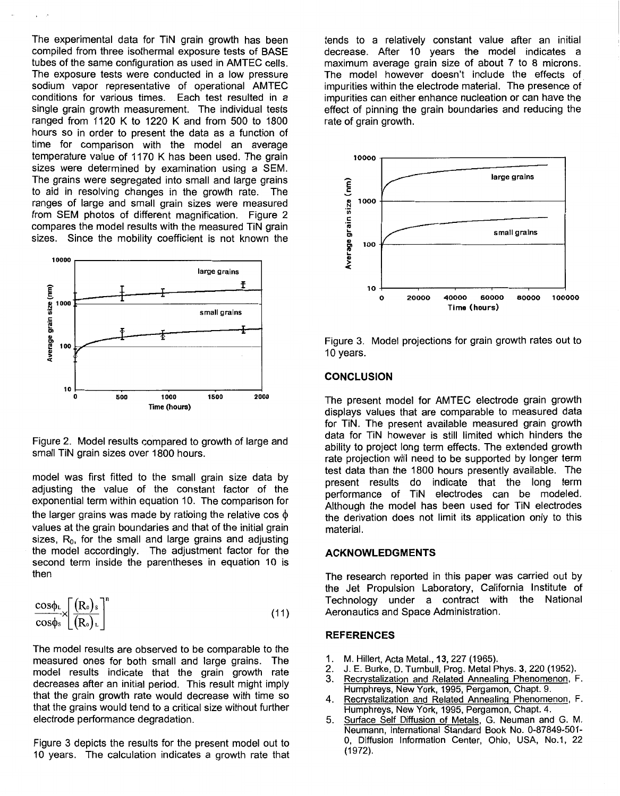The experimental data for TiN grain growth has been compiled from three isothermal exposure tests of BASE tubes of the same configuration as used in AMTEC cells. The exposure tests were conducted in a low pressure sodium vapor representative of operational AMTEC conditions for various times. Each test resulted in a single grain growth measurement. The individual tests ranged from 1120 K to 1220 K and from 500 to 1800 hours so in order to present the data as a function of time for comparison with the model an average temperature value of 1170 K has been used. The grain sizes were determined by examination using a SEM. The grains were segregated into small and large grains<br>to aid in resolving changes in the growth rate. The to aid in resolving changes in the growth rate. ranges of large and small grain sizes were measured from SEM photos of different magnification. Figure *2*  compares the model results with the measured TIN grain sizes. Since the mobility coefficient is not known the



Figure 2. Model results compared to growth of large and small TIN grain sizes over 1800 hours.

model was first fitted to the small grain size data by adjusting the value of the constant factor of the exponential term within equation IO. The comparison for the larger grains was made by ratioing the relative cos  $\phi$ values at the grain boundaries and that of the initial grain sizes,  $R_0$ , for the small and large grains and adjusting the model accordingly. The adjustment factor for the second term inside the parentheses in equation 10 is then

$$
\frac{\cos\phi_L}{\cos\phi_s} \times \left[\frac{(R_o)_s}{(R_o)_L}\right]^n \tag{11}
$$

The model results are observed to be comparable to the measured ones for both small and large grains. The model results indicate that the grain growth rate decreases after an initial period. This result might imply that the grain growth rate would decrease with time so that the grains would tend to a critical size without further electrode performance degradation.

Figure **3** depicts the results for the present model out to 10 years. The calculation indicates a growth rate that tends to a relatively constant value after an initial decrease. After 10 years the model indicates a maximum average grain size of about 7 to 8 microns. The model however doesn't include the effects of impurities within the electrode material. The presence of impurities can either enhance nucleation or can have the effect of pinning the grain boundaries and reducing the rate of grain growth.



Figure **3.** Model projections for grain growth rates out to 10 years.

### **CONCLUSION**

The present model for AMTEC electrode grain growth displays values that are comparable to measured data for TiN. The present available measured grain growth data for TIN however is still limited which hinders the ability to project long term effects. The extended growth rate projection will need to be supported by longer term test data than the 1800 hours presently available. The present results do indicate that the long term performance of TIN electrodes can be modeled. Although the model has been used for TIN electrodes the derivation does not limit its application only to this material.

## **ACKNOWLEDGMENTS**

The research reported in this paper was carried out by the Jet Propulsion Laboratory, California Institute of Technology under a contract with the National Aeronautics and Space Administration.

## **REFERENCES**

- 1. M. Hillert, Acta Metal., 13, 227 (1965).<br>2. J. E. Burke, D. Turnbull, Prog. Metal P
- *2.* J. E. Burke, D. Turnbull, Prog. Metal Phys. 3,220 (1952).
- **3.** Recwstalization and Related Annealing Phenomenon, F. Humphreys, New York, 1995, Pergamon, Chapt. 9.
- **4.** Recwstalization and Related Annealinq Phenomenon, F. Humphreys, New York, 1995, Pergamon, Chapt. 4.
- 5. Surface Self Diffusion of Metals, G. Neuman and G. M. Neumann, International Standard Book No. 0-87849-501- *0,* Diffusion Information Center, Ohio, USA, No.1, 22 (1972).